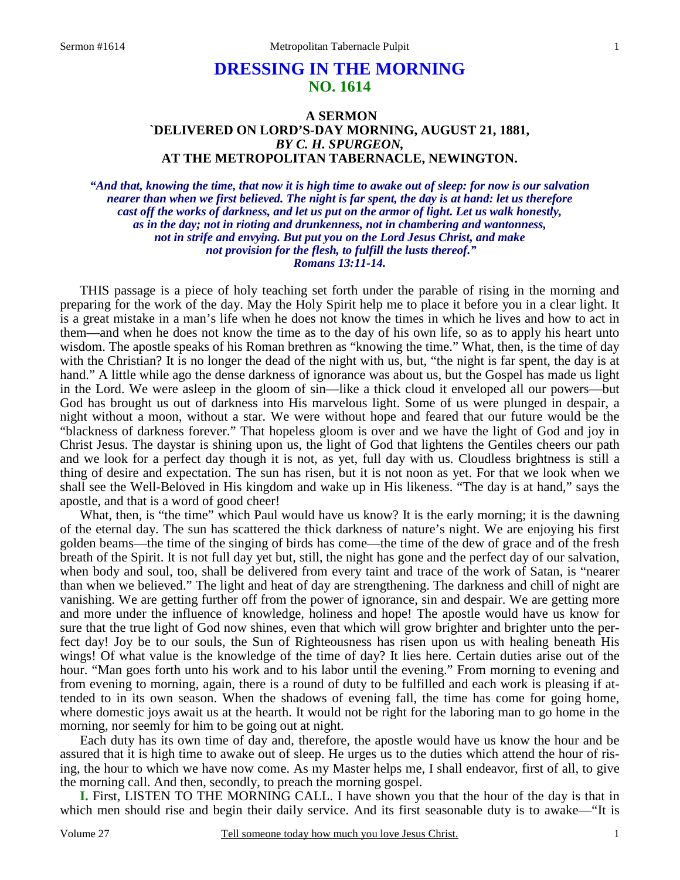# **DRESSING IN THE MORNING NO. 1614**

## **A SERMON `DELIVERED ON LORD'S-DAY MORNING, AUGUST 21, 1881,**  *BY C. H. SPURGEON,*  **AT THE METROPOLITAN TABERNACLE, NEWINGTON.**

*"And that, knowing the time, that now it is high time to awake out of sleep: for now is our salvation nearer than when we first believed. The night is far spent, the day is at hand: let us therefore cast off the works of darkness, and let us put on the armor of light. Let us walk honestly, as in the day; not in rioting and drunkenness, not in chambering and wantonness, not in strife and envying. But put you on the Lord Jesus Christ, and make not provision for the flesh, to fulfill the lusts thereof." Romans 13:11-14.* 

THIS passage is a piece of holy teaching set forth under the parable of rising in the morning and preparing for the work of the day. May the Holy Spirit help me to place it before you in a clear light. It is a great mistake in a man's life when he does not know the times in which he lives and how to act in them—and when he does not know the time as to the day of his own life, so as to apply his heart unto wisdom. The apostle speaks of his Roman brethren as "knowing the time." What, then, is the time of day with the Christian? It is no longer the dead of the night with us, but, "the night is far spent, the day is at hand." A little while ago the dense darkness of ignorance was about us, but the Gospel has made us light in the Lord. We were asleep in the gloom of sin—like a thick cloud it enveloped all our powers—but God has brought us out of darkness into His marvelous light. Some of us were plunged in despair, a night without a moon, without a star. We were without hope and feared that our future would be the "blackness of darkness forever." That hopeless gloom is over and we have the light of God and joy in Christ Jesus. The daystar is shining upon us, the light of God that lightens the Gentiles cheers our path and we look for a perfect day though it is not, as yet, full day with us. Cloudless brightness is still a thing of desire and expectation. The sun has risen, but it is not noon as yet. For that we look when we shall see the Well-Beloved in His kingdom and wake up in His likeness. "The day is at hand," says the apostle, and that is a word of good cheer!

 What, then, is "the time" which Paul would have us know? It is the early morning; it is the dawning of the eternal day. The sun has scattered the thick darkness of nature's night. We are enjoying his first golden beams—the time of the singing of birds has come—the time of the dew of grace and of the fresh breath of the Spirit. It is not full day yet but, still, the night has gone and the perfect day of our salvation, when body and soul, too, shall be delivered from every taint and trace of the work of Satan, is "nearer than when we believed." The light and heat of day are strengthening. The darkness and chill of night are vanishing. We are getting further off from the power of ignorance, sin and despair. We are getting more and more under the influence of knowledge, holiness and hope! The apostle would have us know for sure that the true light of God now shines, even that which will grow brighter and brighter unto the perfect day! Joy be to our souls, the Sun of Righteousness has risen upon us with healing beneath His wings! Of what value is the knowledge of the time of day? It lies here. Certain duties arise out of the hour. "Man goes forth unto his work and to his labor until the evening." From morning to evening and from evening to morning, again, there is a round of duty to be fulfilled and each work is pleasing if attended to in its own season. When the shadows of evening fall, the time has come for going home, where domestic joys await us at the hearth. It would not be right for the laboring man to go home in the morning, nor seemly for him to be going out at night.

 Each duty has its own time of day and, therefore, the apostle would have us know the hour and be assured that it is high time to awake out of sleep. He urges us to the duties which attend the hour of rising, the hour to which we have now come. As my Master helps me, I shall endeavor, first of all, to give the morning call. And then, secondly, to preach the morning gospel.

**I.** First, LISTEN TO THE MORNING CALL. I have shown you that the hour of the day is that in which men should rise and begin their daily service. And its first seasonable duty is to awake—"It is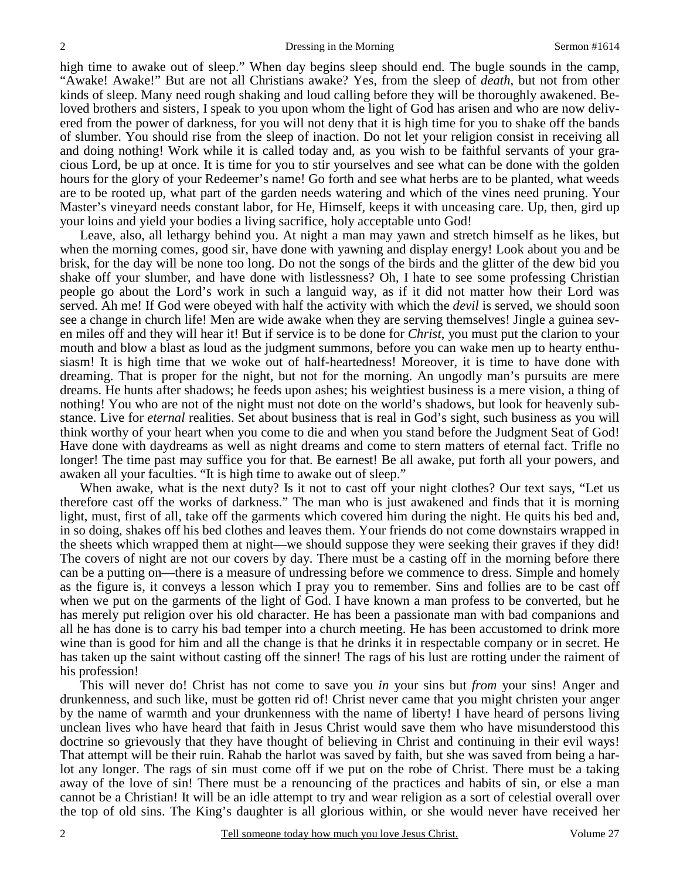high time to awake out of sleep." When day begins sleep should end. The bugle sounds in the camp, "Awake! Awake!" But are not all Christians awake? Yes, from the sleep of *death*, but not from other kinds of sleep. Many need rough shaking and loud calling before they will be thoroughly awakened. Beloved brothers and sisters, I speak to you upon whom the light of God has arisen and who are now delivered from the power of darkness, for you will not deny that it is high time for you to shake off the bands of slumber. You should rise from the sleep of inaction. Do not let your religion consist in receiving all and doing nothing! Work while it is called today and, as you wish to be faithful servants of your gracious Lord, be up at once. It is time for you to stir yourselves and see what can be done with the golden hours for the glory of your Redeemer's name! Go forth and see what herbs are to be planted, what weeds are to be rooted up, what part of the garden needs watering and which of the vines need pruning. Your Master's vineyard needs constant labor, for He, Himself, keeps it with unceasing care. Up, then, gird up your loins and yield your bodies a living sacrifice, holy acceptable unto God!

 Leave, also, all lethargy behind you. At night a man may yawn and stretch himself as he likes, but when the morning comes, good sir, have done with yawning and display energy! Look about you and be brisk, for the day will be none too long. Do not the songs of the birds and the glitter of the dew bid you shake off your slumber, and have done with listlessness? Oh, I hate to see some professing Christian people go about the Lord's work in such a languid way, as if it did not matter how their Lord was served. Ah me! If God were obeyed with half the activity with which the *devil* is served, we should soon see a change in church life! Men are wide awake when they are serving themselves! Jingle a guinea seven miles off and they will hear it! But if service is to be done for *Christ*, you must put the clarion to your mouth and blow a blast as loud as the judgment summons, before you can wake men up to hearty enthusiasm! It is high time that we woke out of half-heartedness! Moreover, it is time to have done with dreaming. That is proper for the night, but not for the morning. An ungodly man's pursuits are mere dreams. He hunts after shadows; he feeds upon ashes; his weightiest business is a mere vision, a thing of nothing! You who are not of the night must not dote on the world's shadows, but look for heavenly substance. Live for *eternal* realities. Set about business that is real in God's sight, such business as you will think worthy of your heart when you come to die and when you stand before the Judgment Seat of God! Have done with daydreams as well as night dreams and come to stern matters of eternal fact. Trifle no longer! The time past may suffice you for that. Be earnest! Be all awake, put forth all your powers, and awaken all your faculties. "It is high time to awake out of sleep."

 When awake, what is the next duty? Is it not to cast off your night clothes? Our text says, "Let us therefore cast off the works of darkness." The man who is just awakened and finds that it is morning light, must, first of all, take off the garments which covered him during the night. He quits his bed and, in so doing, shakes off his bed clothes and leaves them. Your friends do not come downstairs wrapped in the sheets which wrapped them at night—we should suppose they were seeking their graves if they did! The covers of night are not our covers by day. There must be a casting off in the morning before there can be a putting on—there is a measure of undressing before we commence to dress. Simple and homely as the figure is, it conveys a lesson which I pray you to remember. Sins and follies are to be cast off when we put on the garments of the light of God. I have known a man profess to be converted, but he has merely put religion over his old character. He has been a passionate man with bad companions and all he has done is to carry his bad temper into a church meeting. He has been accustomed to drink more wine than is good for him and all the change is that he drinks it in respectable company or in secret. He has taken up the saint without casting off the sinner! The rags of his lust are rotting under the raiment of his profession!

 This will never do! Christ has not come to save you *in* your sins but *from* your sins! Anger and drunkenness, and such like, must be gotten rid of! Christ never came that you might christen your anger by the name of warmth and your drunkenness with the name of liberty! I have heard of persons living unclean lives who have heard that faith in Jesus Christ would save them who have misunderstood this doctrine so grievously that they have thought of believing in Christ and continuing in their evil ways! That attempt will be their ruin. Rahab the harlot was saved by faith, but she was saved from being a harlot any longer. The rags of sin must come off if we put on the robe of Christ. There must be a taking away of the love of sin! There must be a renouncing of the practices and habits of sin, or else a man cannot be a Christian! It will be an idle attempt to try and wear religion as a sort of celestial overall over the top of old sins. The King's daughter is all glorious within, or she would never have received her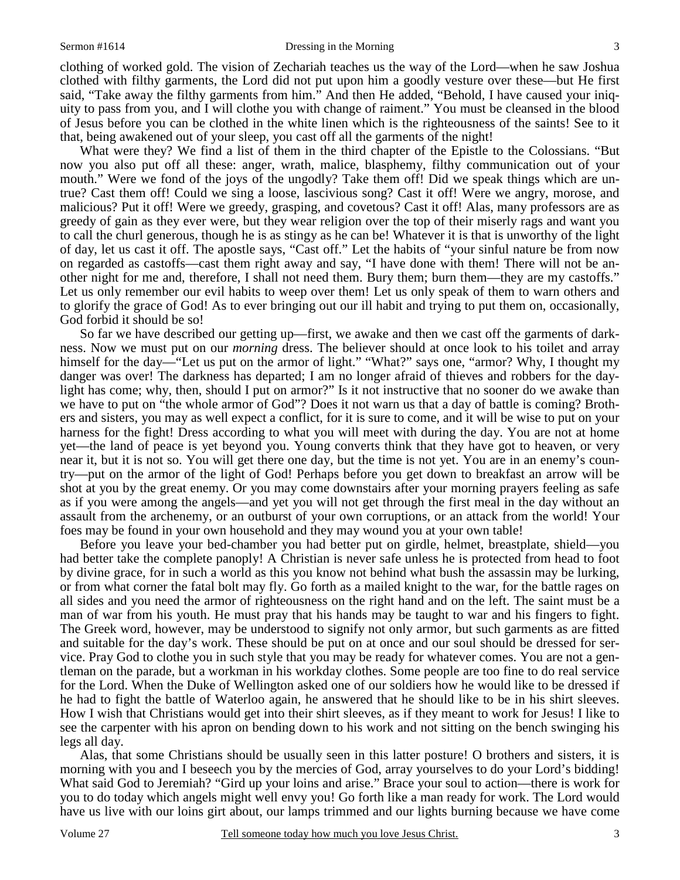#### Sermon #1614 **Dressing in the Morning 3** 3

clothing of worked gold. The vision of Zechariah teaches us the way of the Lord—when he saw Joshua clothed with filthy garments, the Lord did not put upon him a goodly vesture over these—but He first said, "Take away the filthy garments from him." And then He added, "Behold, I have caused your iniquity to pass from you, and I will clothe you with change of raiment." You must be cleansed in the blood of Jesus before you can be clothed in the white linen which is the righteousness of the saints! See to it that, being awakened out of your sleep, you cast off all the garments of the night!

 What were they? We find a list of them in the third chapter of the Epistle to the Colossians. "But now you also put off all these: anger, wrath, malice, blasphemy, filthy communication out of your mouth." Were we fond of the joys of the ungodly? Take them off! Did we speak things which are untrue? Cast them off! Could we sing a loose, lascivious song? Cast it off! Were we angry, morose, and malicious? Put it off! Were we greedy, grasping, and covetous? Cast it off! Alas, many professors are as greedy of gain as they ever were, but they wear religion over the top of their miserly rags and want you to call the churl generous, though he is as stingy as he can be! Whatever it is that is unworthy of the light of day, let us cast it off. The apostle says, "Cast off." Let the habits of "your sinful nature be from now on regarded as castoffs—cast them right away and say, "I have done with them! There will not be another night for me and, therefore, I shall not need them. Bury them; burn them—they are my castoffs." Let us only remember our evil habits to weep over them! Let us only speak of them to warn others and to glorify the grace of God! As to ever bringing out our ill habit and trying to put them on, occasionally, God forbid it should be so!

 So far we have described our getting up—first, we awake and then we cast off the garments of darkness. Now we must put on our *morning* dress. The believer should at once look to his toilet and array himself for the day—"Let us put on the armor of light." "What?" says one, "armor? Why, I thought my danger was over! The darkness has departed; I am no longer afraid of thieves and robbers for the daylight has come; why, then, should I put on armor?" Is it not instructive that no sooner do we awake than we have to put on "the whole armor of God"? Does it not warn us that a day of battle is coming? Brothers and sisters, you may as well expect a conflict, for it is sure to come, and it will be wise to put on your harness for the fight! Dress according to what you will meet with during the day. You are not at home yet—the land of peace is yet beyond you. Young converts think that they have got to heaven, or very near it, but it is not so. You will get there one day, but the time is not yet. You are in an enemy's country—put on the armor of the light of God! Perhaps before you get down to breakfast an arrow will be shot at you by the great enemy. Or you may come downstairs after your morning prayers feeling as safe as if you were among the angels—and yet you will not get through the first meal in the day without an assault from the archenemy, or an outburst of your own corruptions, or an attack from the world! Your foes may be found in your own household and they may wound you at your own table!

 Before you leave your bed-chamber you had better put on girdle, helmet, breastplate, shield—you had better take the complete panoply! A Christian is never safe unless he is protected from head to foot by divine grace, for in such a world as this you know not behind what bush the assassin may be lurking, or from what corner the fatal bolt may fly. Go forth as a mailed knight to the war, for the battle rages on all sides and you need the armor of righteousness on the right hand and on the left. The saint must be a man of war from his youth. He must pray that his hands may be taught to war and his fingers to fight. The Greek word, however, may be understood to signify not only armor, but such garments as are fitted and suitable for the day's work. These should be put on at once and our soul should be dressed for service. Pray God to clothe you in such style that you may be ready for whatever comes. You are not a gentleman on the parade, but a workman in his workday clothes. Some people are too fine to do real service for the Lord. When the Duke of Wellington asked one of our soldiers how he would like to be dressed if he had to fight the battle of Waterloo again, he answered that he should like to be in his shirt sleeves. How I wish that Christians would get into their shirt sleeves, as if they meant to work for Jesus! I like to see the carpenter with his apron on bending down to his work and not sitting on the bench swinging his legs all day.

 Alas, that some Christians should be usually seen in this latter posture! O brothers and sisters, it is morning with you and I beseech you by the mercies of God, array yourselves to do your Lord's bidding! What said God to Jeremiah? "Gird up your loins and arise." Brace your soul to action—there is work for you to do today which angels might well envy you! Go forth like a man ready for work. The Lord would have us live with our loins girt about, our lamps trimmed and our lights burning because we have come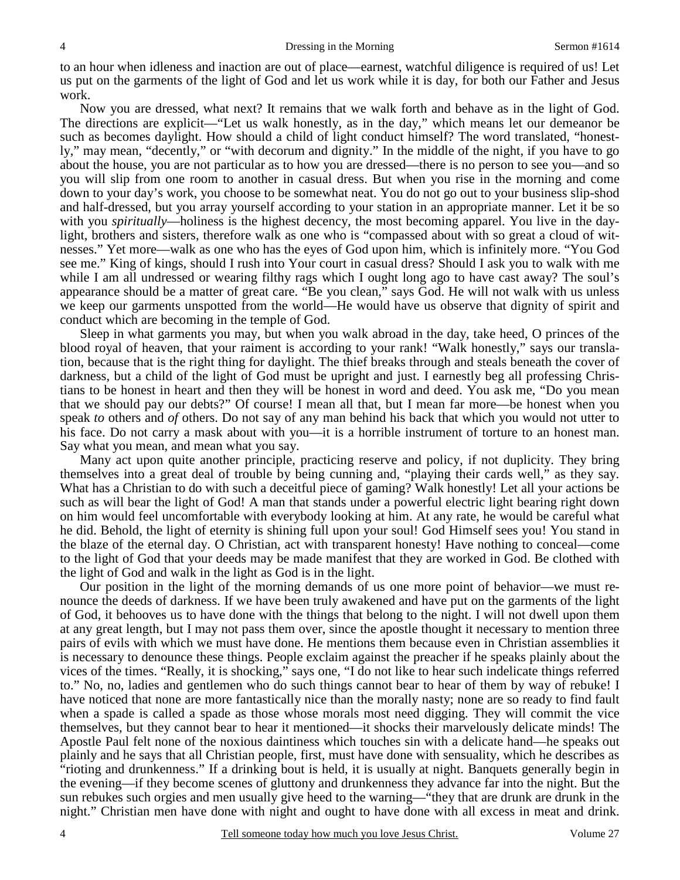to an hour when idleness and inaction are out of place—earnest, watchful diligence is required of us! Let us put on the garments of the light of God and let us work while it is day, for both our Father and Jesus work.

 Now you are dressed, what next? It remains that we walk forth and behave as in the light of God. The directions are explicit—"Let us walk honestly, as in the day," which means let our demeanor be such as becomes daylight. How should a child of light conduct himself? The word translated, "honestly," may mean, "decently," or "with decorum and dignity." In the middle of the night, if you have to go about the house, you are not particular as to how you are dressed—there is no person to see you—and so you will slip from one room to another in casual dress. But when you rise in the morning and come down to your day's work, you choose to be somewhat neat. You do not go out to your business slip-shod and half-dressed, but you array yourself according to your station in an appropriate manner. Let it be so with you *spiritually*—holiness is the highest decency, the most becoming apparel. You live in the daylight, brothers and sisters, therefore walk as one who is "compassed about with so great a cloud of witnesses." Yet more—walk as one who has the eyes of God upon him, which is infinitely more. "You God see me." King of kings, should I rush into Your court in casual dress? Should I ask you to walk with me while I am all undressed or wearing filthy rags which I ought long ago to have cast away? The soul's appearance should be a matter of great care. "Be you clean," says God. He will not walk with us unless we keep our garments unspotted from the world—He would have us observe that dignity of spirit and conduct which are becoming in the temple of God.

 Sleep in what garments you may, but when you walk abroad in the day, take heed, O princes of the blood royal of heaven, that your raiment is according to your rank! "Walk honestly," says our translation, because that is the right thing for daylight. The thief breaks through and steals beneath the cover of darkness, but a child of the light of God must be upright and just. I earnestly beg all professing Christians to be honest in heart and then they will be honest in word and deed. You ask me, "Do you mean that we should pay our debts?" Of course! I mean all that, but I mean far more—be honest when you speak *to* others and *of* others. Do not say of any man behind his back that which you would not utter to his face. Do not carry a mask about with you—it is a horrible instrument of torture to an honest man. Say what you mean, and mean what you say.

 Many act upon quite another principle, practicing reserve and policy, if not duplicity. They bring themselves into a great deal of trouble by being cunning and, "playing their cards well," as they say. What has a Christian to do with such a deceitful piece of gaming? Walk honestly! Let all your actions be such as will bear the light of God! A man that stands under a powerful electric light bearing right down on him would feel uncomfortable with everybody looking at him. At any rate, he would be careful what he did. Behold, the light of eternity is shining full upon your soul! God Himself sees you! You stand in the blaze of the eternal day. O Christian, act with transparent honesty! Have nothing to conceal—come to the light of God that your deeds may be made manifest that they are worked in God. Be clothed with the light of God and walk in the light as God is in the light.

 Our position in the light of the morning demands of us one more point of behavior—we must renounce the deeds of darkness. If we have been truly awakened and have put on the garments of the light of God, it behooves us to have done with the things that belong to the night. I will not dwell upon them at any great length, but I may not pass them over, since the apostle thought it necessary to mention three pairs of evils with which we must have done. He mentions them because even in Christian assemblies it is necessary to denounce these things. People exclaim against the preacher if he speaks plainly about the vices of the times. "Really, it is shocking," says one, "I do not like to hear such indelicate things referred to." No, no, ladies and gentlemen who do such things cannot bear to hear of them by way of rebuke! I have noticed that none are more fantastically nice than the morally nasty; none are so ready to find fault when a spade is called a spade as those whose morals most need digging. They will commit the vice themselves, but they cannot bear to hear it mentioned—it shocks their marvelously delicate minds! The Apostle Paul felt none of the noxious daintiness which touches sin with a delicate hand—he speaks out plainly and he says that all Christian people, first, must have done with sensuality, which he describes as "rioting and drunkenness." If a drinking bout is held, it is usually at night. Banquets generally begin in the evening—if they become scenes of gluttony and drunkenness they advance far into the night. But the sun rebukes such orgies and men usually give heed to the warning—"they that are drunk are drunk in the night." Christian men have done with night and ought to have done with all excess in meat and drink.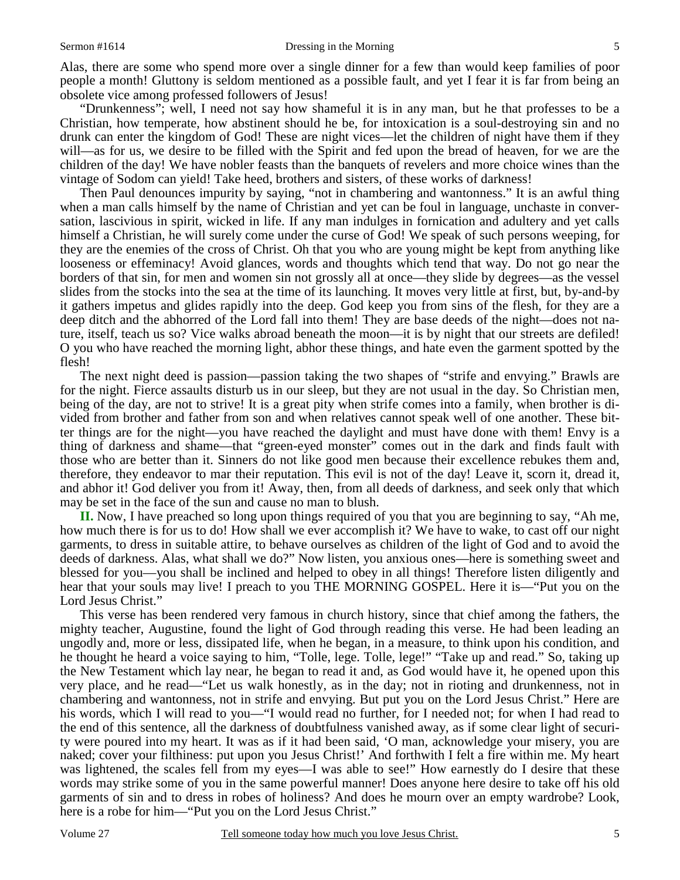Alas, there are some who spend more over a single dinner for a few than would keep families of poor people a month! Gluttony is seldom mentioned as a possible fault, and yet I fear it is far from being an obsolete vice among professed followers of Jesus!

 "Drunkenness"; well, I need not say how shameful it is in any man, but he that professes to be a Christian, how temperate, how abstinent should he be, for intoxication is a soul-destroying sin and no drunk can enter the kingdom of God! These are night vices—let the children of night have them if they will—as for us, we desire to be filled with the Spirit and fed upon the bread of heaven, for we are the children of the day! We have nobler feasts than the banquets of revelers and more choice wines than the vintage of Sodom can yield! Take heed, brothers and sisters, of these works of darkness!

 Then Paul denounces impurity by saying, "not in chambering and wantonness." It is an awful thing when a man calls himself by the name of Christian and yet can be foul in language, unchaste in conversation, lascivious in spirit, wicked in life. If any man indulges in fornication and adultery and yet calls himself a Christian, he will surely come under the curse of God! We speak of such persons weeping, for they are the enemies of the cross of Christ. Oh that you who are young might be kept from anything like looseness or effeminacy! Avoid glances, words and thoughts which tend that way. Do not go near the borders of that sin, for men and women sin not grossly all at once—they slide by degrees—as the vessel slides from the stocks into the sea at the time of its launching. It moves very little at first, but, by-and-by it gathers impetus and glides rapidly into the deep. God keep you from sins of the flesh, for they are a deep ditch and the abhorred of the Lord fall into them! They are base deeds of the night—does not nature, itself, teach us so? Vice walks abroad beneath the moon—it is by night that our streets are defiled! O you who have reached the morning light, abhor these things, and hate even the garment spotted by the flesh!

 The next night deed is passion—passion taking the two shapes of "strife and envying." Brawls are for the night. Fierce assaults disturb us in our sleep, but they are not usual in the day. So Christian men, being of the day, are not to strive! It is a great pity when strife comes into a family, when brother is divided from brother and father from son and when relatives cannot speak well of one another. These bitter things are for the night—you have reached the daylight and must have done with them! Envy is a thing of darkness and shame—that "green-eyed monster" comes out in the dark and finds fault with those who are better than it. Sinners do not like good men because their excellence rebukes them and, therefore, they endeavor to mar their reputation. This evil is not of the day! Leave it, scorn it, dread it, and abhor it! God deliver you from it! Away, then, from all deeds of darkness, and seek only that which may be set in the face of the sun and cause no man to blush.

**II.** Now, I have preached so long upon things required of you that you are beginning to say, "Ah me, how much there is for us to do! How shall we ever accomplish it? We have to wake, to cast off our night garments, to dress in suitable attire, to behave ourselves as children of the light of God and to avoid the deeds of darkness. Alas, what shall we do?" Now listen, you anxious ones—here is something sweet and blessed for you—you shall be inclined and helped to obey in all things! Therefore listen diligently and hear that your souls may live! I preach to you THE MORNING GOSPEL. Here it is—"Put you on the Lord Jesus Christ."

 This verse has been rendered very famous in church history, since that chief among the fathers, the mighty teacher, Augustine, found the light of God through reading this verse. He had been leading an ungodly and, more or less, dissipated life, when he began, in a measure, to think upon his condition, and he thought he heard a voice saying to him, "Tolle, lege. Tolle, lege!" "Take up and read." So, taking up the New Testament which lay near, he began to read it and, as God would have it, he opened upon this very place, and he read—"Let us walk honestly, as in the day; not in rioting and drunkenness, not in chambering and wantonness, not in strife and envying. But put you on the Lord Jesus Christ." Here are his words, which I will read to you—"I would read no further, for I needed not; for when I had read to the end of this sentence, all the darkness of doubtfulness vanished away, as if some clear light of security were poured into my heart. It was as if it had been said, 'O man, acknowledge your misery, you are naked; cover your filthiness: put upon you Jesus Christ!' And forthwith I felt a fire within me. My heart was lightened, the scales fell from my eyes—I was able to see!" How earnestly do I desire that these words may strike some of you in the same powerful manner! Does anyone here desire to take off his old garments of sin and to dress in robes of holiness? And does he mourn over an empty wardrobe? Look, here is a robe for him—"Put you on the Lord Jesus Christ."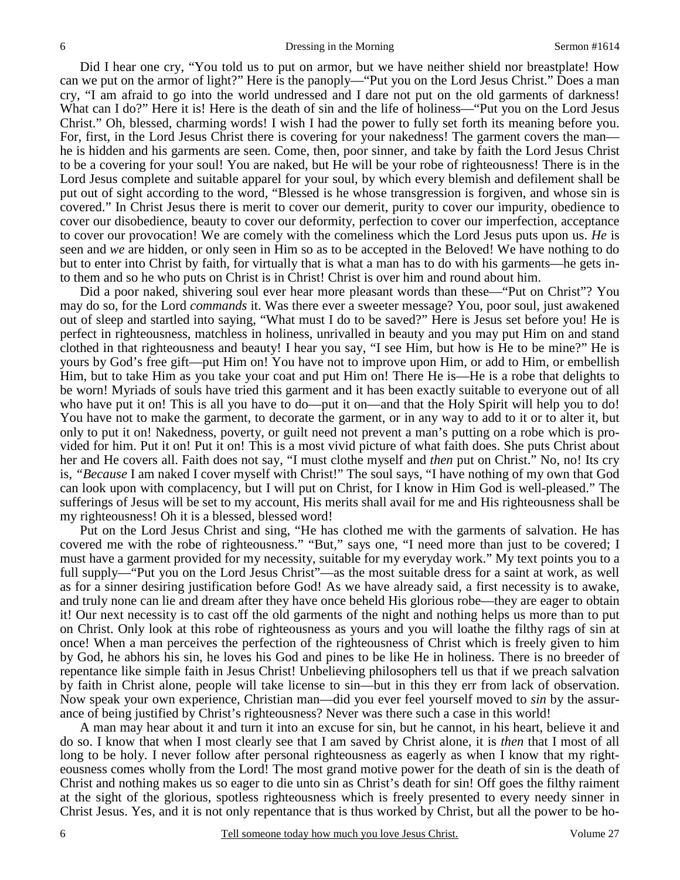Did I hear one cry, "You told us to put on armor, but we have neither shield nor breastplate! How can we put on the armor of light?" Here is the panoply—"Put you on the Lord Jesus Christ." Does a man cry, "I am afraid to go into the world undressed and I dare not put on the old garments of darkness! What can I do?" Here it is! Here is the death of sin and the life of holiness—"Put you on the Lord Jesus Christ." Oh, blessed, charming words! I wish I had the power to fully set forth its meaning before you. For, first, in the Lord Jesus Christ there is covering for your nakedness! The garment covers the man he is hidden and his garments are seen. Come, then, poor sinner, and take by faith the Lord Jesus Christ to be a covering for your soul! You are naked, but He will be your robe of righteousness! There is in the Lord Jesus complete and suitable apparel for your soul, by which every blemish and defilement shall be put out of sight according to the word, "Blessed is he whose transgression is forgiven, and whose sin is covered." In Christ Jesus there is merit to cover our demerit, purity to cover our impurity, obedience to cover our disobedience, beauty to cover our deformity, perfection to cover our imperfection, acceptance to cover our provocation! We are comely with the comeliness which the Lord Jesus puts upon us. *He* is seen and *we* are hidden, or only seen in Him so as to be accepted in the Beloved! We have nothing to do but to enter into Christ by faith, for virtually that is what a man has to do with his garments—he gets into them and so he who puts on Christ is in Christ! Christ is over him and round about him.

 Did a poor naked, shivering soul ever hear more pleasant words than these—"Put on Christ"? You may do so, for the Lord *commands* it. Was there ever a sweeter message? You, poor soul, just awakened out of sleep and startled into saying, "What must I do to be saved?" Here is Jesus set before you! He is perfect in righteousness, matchless in holiness, unrivalled in beauty and you may put Him on and stand clothed in that righteousness and beauty! I hear you say, "I see Him, but how is He to be mine?" He is yours by God's free gift—put Him on! You have not to improve upon Him, or add to Him, or embellish Him, but to take Him as you take your coat and put Him on! There He is—He is a robe that delights to be worn! Myriads of souls have tried this garment and it has been exactly suitable to everyone out of all who have put it on! This is all you have to do—put it on—and that the Holy Spirit will help you to do! You have not to make the garment, to decorate the garment, or in any way to add to it or to alter it, but only to put it on! Nakedness, poverty, or guilt need not prevent a man's putting on a robe which is provided for him. Put it on! Put it on! This is a most vivid picture of what faith does. She puts Christ about her and He covers all. Faith does not say, "I must clothe myself and *then* put on Christ." No, no! Its cry is, *"Because* I am naked I cover myself with Christ!" The soul says, "I have nothing of my own that God can look upon with complacency, but I will put on Christ, for I know in Him God is well-pleased." The sufferings of Jesus will be set to my account, His merits shall avail for me and His righteousness shall be my righteousness! Oh it is a blessed, blessed word!

 Put on the Lord Jesus Christ and sing, "He has clothed me with the garments of salvation. He has covered me with the robe of righteousness." "But," says one, "I need more than just to be covered; I must have a garment provided for my necessity, suitable for my everyday work." My text points you to a full supply—"Put you on the Lord Jesus Christ"—as the most suitable dress for a saint at work, as well as for a sinner desiring justification before God! As we have already said, a first necessity is to awake, and truly none can lie and dream after they have once beheld His glorious robe—they are eager to obtain it! Our next necessity is to cast off the old garments of the night and nothing helps us more than to put on Christ. Only look at this robe of righteousness as yours and you will loathe the filthy rags of sin at once! When a man perceives the perfection of the righteousness of Christ which is freely given to him by God, he abhors his sin, he loves his God and pines to be like He in holiness. There is no breeder of repentance like simple faith in Jesus Christ! Unbelieving philosophers tell us that if we preach salvation by faith in Christ alone, people will take license to sin—but in this they err from lack of observation. Now speak your own experience, Christian man—did you ever feel yourself moved to *sin* by the assurance of being justified by Christ's righteousness? Never was there such a case in this world!

 A man may hear about it and turn it into an excuse for sin, but he cannot, in his heart, believe it and do so. I know that when I most clearly see that I am saved by Christ alone, it is *then* that I most of all long to be holy. I never follow after personal righteousness as eagerly as when I know that my righteousness comes wholly from the Lord! The most grand motive power for the death of sin is the death of Christ and nothing makes us so eager to die unto sin as Christ's death for sin! Off goes the filthy raiment at the sight of the glorious, spotless righteousness which is freely presented to every needy sinner in Christ Jesus. Yes, and it is not only repentance that is thus worked by Christ, but all the power to be ho-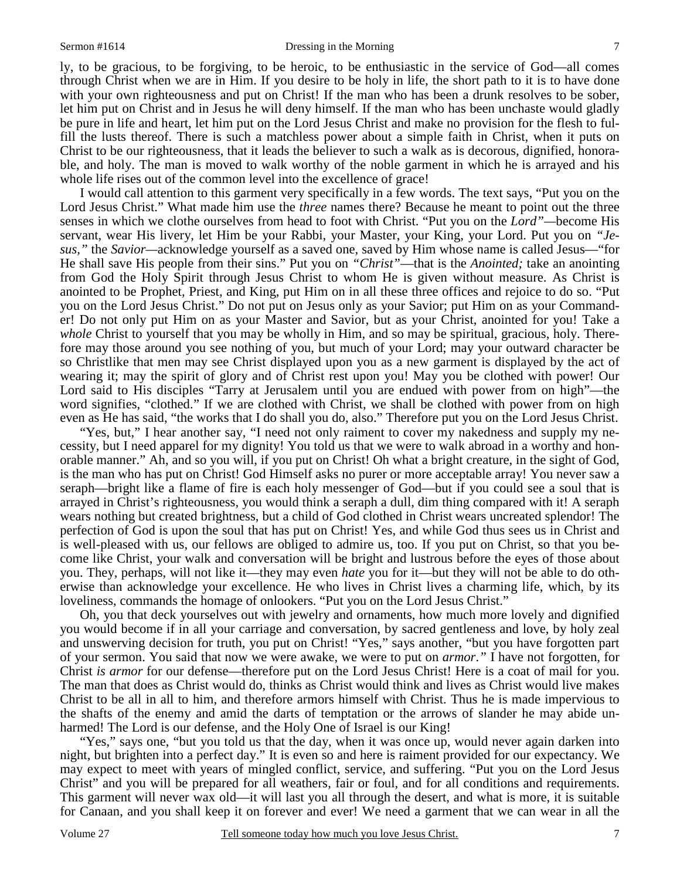#### Sermon #1614 **Dressing in the Morning 7** 7

ly, to be gracious, to be forgiving, to be heroic, to be enthusiastic in the service of God—all comes through Christ when we are in Him. If you desire to be holy in life, the short path to it is to have done with your own righteousness and put on Christ! If the man who has been a drunk resolves to be sober, let him put on Christ and in Jesus he will deny himself. If the man who has been unchaste would gladly be pure in life and heart, let him put on the Lord Jesus Christ and make no provision for the flesh to fulfill the lusts thereof. There is such a matchless power about a simple faith in Christ, when it puts on Christ to be our righteousness, that it leads the believer to such a walk as is decorous, dignified, honorable, and holy. The man is moved to walk worthy of the noble garment in which he is arrayed and his whole life rises out of the common level into the excellence of grace!

 I would call attention to this garment very specifically in a few words. The text says, "Put you on the Lord Jesus Christ." What made him use the *three* names there? Because he meant to point out the three senses in which we clothe ourselves from head to foot with Christ. "Put you on the *Lord"—*become His servant, wear His livery, let Him be your Rabbi, your Master, your King, your Lord. Put you on *"Jesus,"* the *Savior—*acknowledge yourself as a saved one, saved by Him whose name is called Jesus—"for He shall save His people from their sins." Put you on *"Christ"*—that is the *Anointed;* take an anointing from God the Holy Spirit through Jesus Christ to whom He is given without measure. As Christ is anointed to be Prophet, Priest, and King, put Him on in all these three offices and rejoice to do so. "Put you on the Lord Jesus Christ." Do not put on Jesus only as your Savior; put Him on as your Commander! Do not only put Him on as your Master and Savior, but as your Christ, anointed for you! Take a *whole* Christ to yourself that you may be wholly in Him, and so may be spiritual, gracious, holy. Therefore may those around you see nothing of you, but much of your Lord; may your outward character be so Christlike that men may see Christ displayed upon you as a new garment is displayed by the act of wearing it; may the spirit of glory and of Christ rest upon you! May you be clothed with power! Our Lord said to His disciples "Tarry at Jerusalem until you are endued with power from on high"—the word signifies, "clothed." If we are clothed with Christ, we shall be clothed with power from on high even as He has said, "the works that I do shall you do, also." Therefore put you on the Lord Jesus Christ.

 "Yes, but," I hear another say, "I need not only raiment to cover my nakedness and supply my necessity, but I need apparel for my dignity! You told us that we were to walk abroad in a worthy and honorable manner." Ah, and so you will, if you put on Christ! Oh what a bright creature, in the sight of God, is the man who has put on Christ! God Himself asks no purer or more acceptable array! You never saw a seraph—bright like a flame of fire is each holy messenger of God—but if you could see a soul that is arrayed in Christ's righteousness, you would think a seraph a dull, dim thing compared with it! A seraph wears nothing but created brightness, but a child of God clothed in Christ wears uncreated splendor! The perfection of God is upon the soul that has put on Christ! Yes, and while God thus sees us in Christ and is well-pleased with us, our fellows are obliged to admire us, too. If you put on Christ, so that you become like Christ, your walk and conversation will be bright and lustrous before the eyes of those about you. They, perhaps, will not like it—they may even *hate* you for it—but they will not be able to do otherwise than acknowledge your excellence. He who lives in Christ lives a charming life, which, by its loveliness, commands the homage of onlookers. "Put you on the Lord Jesus Christ."

 Oh, you that deck yourselves out with jewelry and ornaments, how much more lovely and dignified you would become if in all your carriage and conversation, by sacred gentleness and love, by holy zeal and unswerving decision for truth, you put on Christ! "Yes," says another, "but you have forgotten part of your sermon. You said that now we were awake, we were to put on *armor*.*"* I have not forgotten, for Christ *is armor* for our defense—therefore put on the Lord Jesus Christ! Here is a coat of mail for you. The man that does as Christ would do, thinks as Christ would think and lives as Christ would live makes Christ to be all in all to him, and therefore armors himself with Christ. Thus he is made impervious to the shafts of the enemy and amid the darts of temptation or the arrows of slander he may abide unharmed! The Lord is our defense, and the Holy One of Israel is our King!

 "Yes," says one, "but you told us that the day, when it was once up, would never again darken into night, but brighten into a perfect day." It is even so and here is raiment provided for our expectancy. We may expect to meet with years of mingled conflict, service, and suffering. "Put you on the Lord Jesus Christ" and you will be prepared for all weathers, fair or foul, and for all conditions and requirements. This garment will never wax old—it will last you all through the desert, and what is more, it is suitable for Canaan, and you shall keep it on forever and ever! We need a garment that we can wear in all the